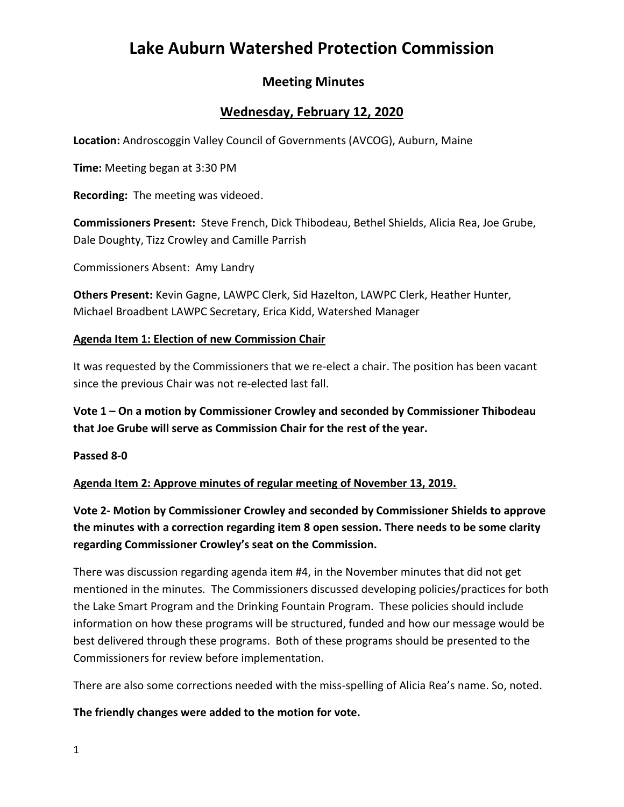# **Lake Auburn Watershed Protection Commission**

# **Meeting Minutes**

# **Wednesday, February 12, 2020**

**Location:** Androscoggin Valley Council of Governments (AVCOG), Auburn, Maine

**Time:** Meeting began at 3:30 PM

**Recording:** The meeting was videoed.

**Commissioners Present:** Steve French, Dick Thibodeau, Bethel Shields, Alicia Rea, Joe Grube, Dale Doughty, Tizz Crowley and Camille Parrish

Commissioners Absent: Amy Landry

**Others Present:** Kevin Gagne, LAWPC Clerk, Sid Hazelton, LAWPC Clerk, Heather Hunter, Michael Broadbent LAWPC Secretary, Erica Kidd, Watershed Manager

#### **Agenda Item 1: Election of new Commission Chair**

It was requested by the Commissioners that we re-elect a chair. The position has been vacant since the previous Chair was not re-elected last fall.

**Vote 1 – On a motion by Commissioner Crowley and seconded by Commissioner Thibodeau that Joe Grube will serve as Commission Chair for the rest of the year.**

**Passed 8-0** 

**Agenda Item 2: Approve minutes of regular meeting of November 13, 2019.** 

**Vote 2- Motion by Commissioner Crowley and seconded by Commissioner Shields to approve the minutes with a correction regarding item 8 open session. There needs to be some clarity regarding Commissioner Crowley's seat on the Commission.**

There was discussion regarding agenda item #4, in the November minutes that did not get mentioned in the minutes. The Commissioners discussed developing policies/practices for both the Lake Smart Program and the Drinking Fountain Program. These policies should include information on how these programs will be structured, funded and how our message would be best delivered through these programs. Both of these programs should be presented to the Commissioners for review before implementation.

There are also some corrections needed with the miss-spelling of Alicia Rea's name. So, noted.

#### **The friendly changes were added to the motion for vote.**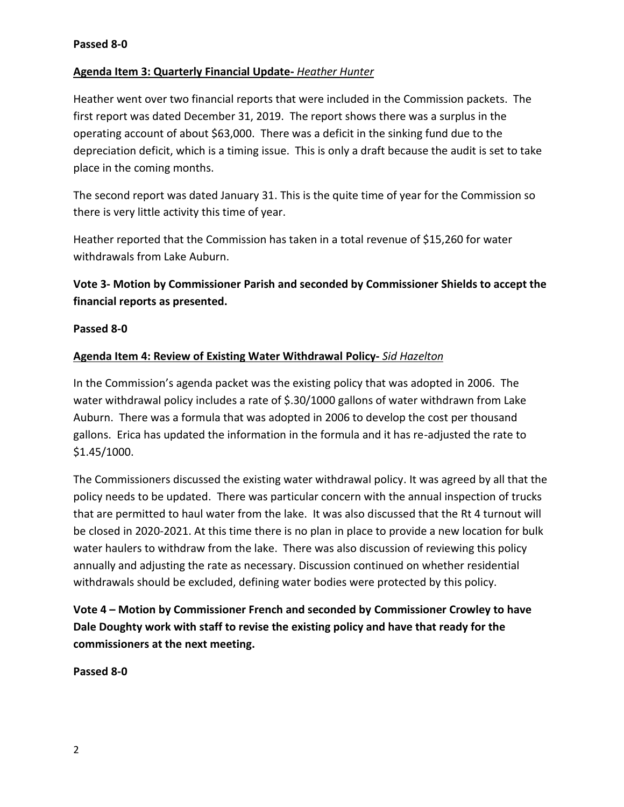## **Agenda Item 3: Quarterly Financial Update-** *Heather Hunter*

Heather went over two financial reports that were included in the Commission packets. The first report was dated December 31, 2019. The report shows there was a surplus in the operating account of about \$63,000. There was a deficit in the sinking fund due to the depreciation deficit, which is a timing issue. This is only a draft because the audit is set to take place in the coming months.

The second report was dated January 31. This is the quite time of year for the Commission so there is very little activity this time of year.

Heather reported that the Commission has taken in a total revenue of \$15,260 for water withdrawals from Lake Auburn.

**Vote 3- Motion by Commissioner Parish and seconded by Commissioner Shields to accept the financial reports as presented.**

#### **Passed 8-0**

## **Agenda Item 4: Review of Existing Water Withdrawal Policy-** *Sid Hazelton*

In the Commission's agenda packet was the existing policy that was adopted in 2006. The water withdrawal policy includes a rate of \$.30/1000 gallons of water withdrawn from Lake Auburn. There was a formula that was adopted in 2006 to develop the cost per thousand gallons. Erica has updated the information in the formula and it has re-adjusted the rate to \$1.45/1000.

The Commissioners discussed the existing water withdrawal policy. It was agreed by all that the policy needs to be updated. There was particular concern with the annual inspection of trucks that are permitted to haul water from the lake. It was also discussed that the Rt 4 turnout will be closed in 2020-2021. At this time there is no plan in place to provide a new location for bulk water haulers to withdraw from the lake. There was also discussion of reviewing this policy annually and adjusting the rate as necessary. Discussion continued on whether residential withdrawals should be excluded, defining water bodies were protected by this policy.

**Vote 4 – Motion by Commissioner French and seconded by Commissioner Crowley to have Dale Doughty work with staff to revise the existing policy and have that ready for the commissioners at the next meeting.**

#### **Passed 8-0**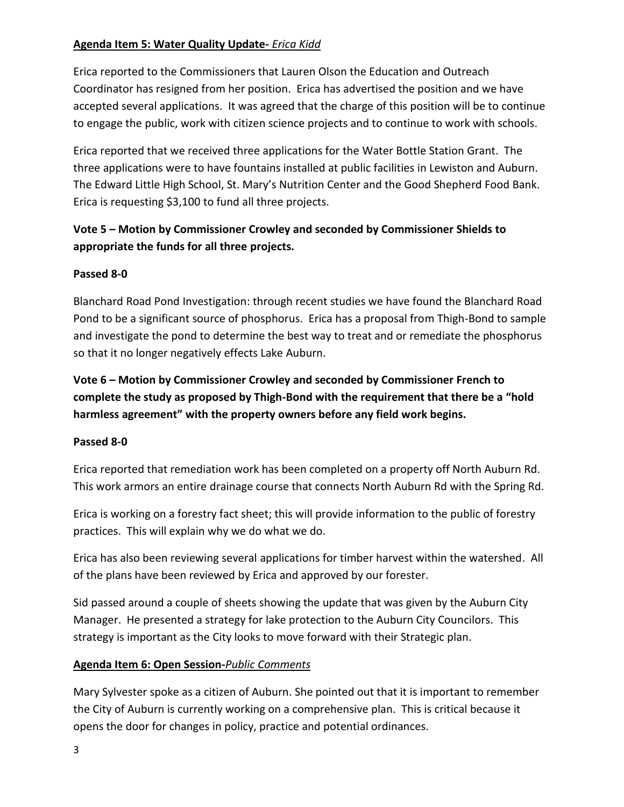## **Agenda Item 5: Water Quality Update-** *Erica Kidd*

Erica reported to the Commissioners that Lauren Olson the Education and Outreach Coordinator has resigned from her position. Erica has advertised the position and we have accepted several applications. It was agreed that the charge of this position will be to continue to engage the public, work with citizen science projects and to continue to work with schools.

Erica reported that we received three applications for the Water Bottle Station Grant. The three applications were to have fountains installed at public facilities in Lewiston and Auburn. The Edward Little High School, St. Mary's Nutrition Center and the Good Shepherd Food Bank. Erica is requesting \$3,100 to fund all three projects.

# **Vote 5 – Motion by Commissioner Crowley and seconded by Commissioner Shields to appropriate the funds for all three projects.**

## **Passed 8-0**

Blanchard Road Pond Investigation: through recent studies we have found the Blanchard Road Pond to be a significant source of phosphorus. Erica has a proposal from Thigh-Bond to sample and investigate the pond to determine the best way to treat and or remediate the phosphorus so that it no longer negatively effects Lake Auburn.

**Vote 6 – Motion by Commissioner Crowley and seconded by Commissioner French to complete the study as proposed by Thigh-Bond with the requirement that there be a "hold harmless agreement" with the property owners before any field work begins.**

#### **Passed 8-0**

Erica reported that remediation work has been completed on a property off North Auburn Rd. This work armors an entire drainage course that connects North Auburn Rd with the Spring Rd.

Erica is working on a forestry fact sheet; this will provide information to the public of forestry practices. This will explain why we do what we do.

Erica has also been reviewing several applications for timber harvest within the watershed. All of the plans have been reviewed by Erica and approved by our forester.

Sid passed around a couple of sheets showing the update that was given by the Auburn City Manager. He presented a strategy for lake protection to the Auburn City Councilors. This strategy is important as the City looks to move forward with their Strategic plan.

#### **Agenda Item 6: Open Session-***Public Comments*

Mary Sylvester spoke as a citizen of Auburn. She pointed out that it is important to remember the City of Auburn is currently working on a comprehensive plan. This is critical because it opens the door for changes in policy, practice and potential ordinances.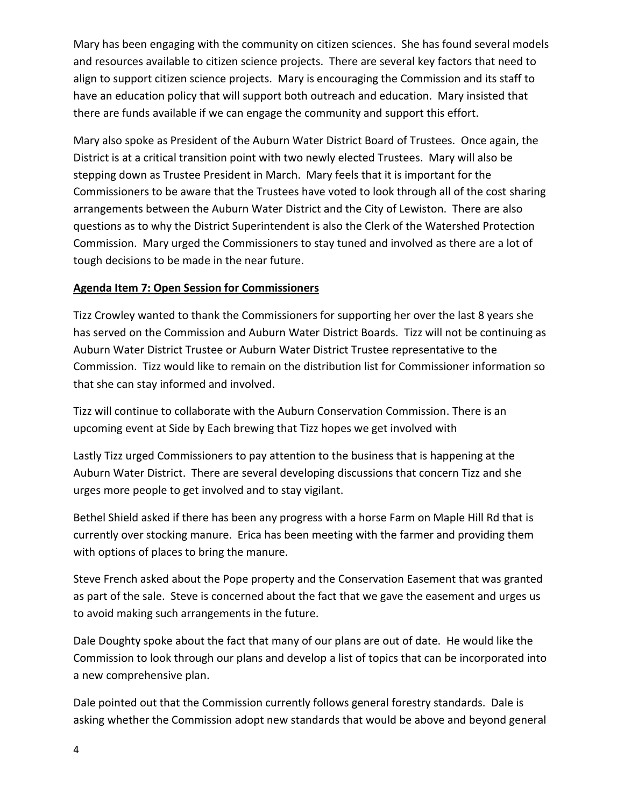Mary has been engaging with the community on citizen sciences. She has found several models and resources available to citizen science projects. There are several key factors that need to align to support citizen science projects. Mary is encouraging the Commission and its staff to have an education policy that will support both outreach and education. Mary insisted that there are funds available if we can engage the community and support this effort.

Mary also spoke as President of the Auburn Water District Board of Trustees. Once again, the District is at a critical transition point with two newly elected Trustees. Mary will also be stepping down as Trustee President in March. Mary feels that it is important for the Commissioners to be aware that the Trustees have voted to look through all of the cost sharing arrangements between the Auburn Water District and the City of Lewiston. There are also questions as to why the District Superintendent is also the Clerk of the Watershed Protection Commission. Mary urged the Commissioners to stay tuned and involved as there are a lot of tough decisions to be made in the near future.

#### **Agenda Item 7: Open Session for Commissioners**

Tizz Crowley wanted to thank the Commissioners for supporting her over the last 8 years she has served on the Commission and Auburn Water District Boards. Tizz will not be continuing as Auburn Water District Trustee or Auburn Water District Trustee representative to the Commission. Tizz would like to remain on the distribution list for Commissioner information so that she can stay informed and involved.

Tizz will continue to collaborate with the Auburn Conservation Commission. There is an upcoming event at Side by Each brewing that Tizz hopes we get involved with

Lastly Tizz urged Commissioners to pay attention to the business that is happening at the Auburn Water District. There are several developing discussions that concern Tizz and she urges more people to get involved and to stay vigilant.

Bethel Shield asked if there has been any progress with a horse Farm on Maple Hill Rd that is currently over stocking manure. Erica has been meeting with the farmer and providing them with options of places to bring the manure.

Steve French asked about the Pope property and the Conservation Easement that was granted as part of the sale. Steve is concerned about the fact that we gave the easement and urges us to avoid making such arrangements in the future.

Dale Doughty spoke about the fact that many of our plans are out of date. He would like the Commission to look through our plans and develop a list of topics that can be incorporated into a new comprehensive plan.

Dale pointed out that the Commission currently follows general forestry standards. Dale is asking whether the Commission adopt new standards that would be above and beyond general